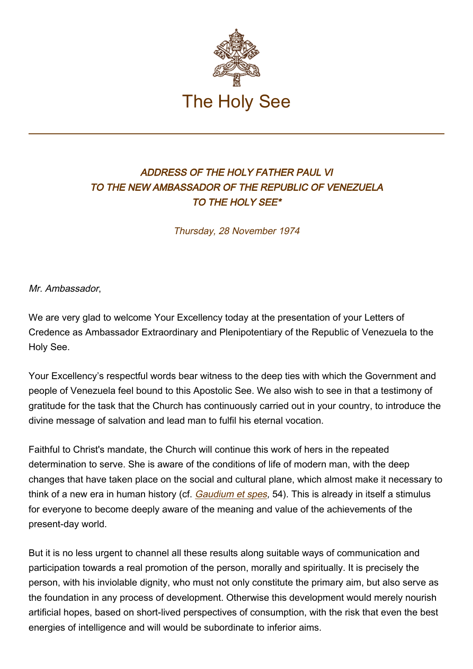

## ADDRESS OF THE HOLY FATHER PAUL VI TO THE NEW AMBASSADOR OF THE REPUBLIC OF VENEZUELA TO THE HOLY SEE\*

Thursday, 28 November 1974

Mr. Ambassador,

We are very glad to welcome Your Excellency today at the presentation of your Letters of Credence as Ambassador Extraordinary and Plenipotentiary of the Republic of Venezuela to the Holy See.

Your Excellency's respectful words bear witness to the deep ties with which the Government and people of Venezuela feel bound to this Apostolic See. We also wish to see in that a testimony of gratitude for the task that the Church has continuously carried out in your country, to introduce the divine message of salvation and lead man to fulfil his eternal vocation.

Faithful to Christ's mandate, the Church will continue this work of hers in the repeated determination to serve. She is aware of the conditions of life of modern man, with the deep changes that have taken place on the social and cultural plane, which almost make it necessary to think of a new era in human history (cf. [Gaudium et spes](http://www.vatican.va/archive/hist_councils/ii_vatican_council/documents/vat-ii_cons_19651207_gaudium-et-spes_en.html), 54). This is already in itself a stimulus for everyone to become deeply aware of the meaning and value of the achievements of the present-day world.

But it is no less urgent to channel all these results along suitable ways of communication and participation towards a real promotion of the person, morally and spiritually. It is precisely the person, with his inviolable dignity, who must not only constitute the primary aim, but also serve as the foundation in any process of development. Otherwise this development would merely nourish artificial hopes, based on short-lived perspectives of consumption, with the risk that even the best energies of intelligence and will would be subordinate to inferior aims.